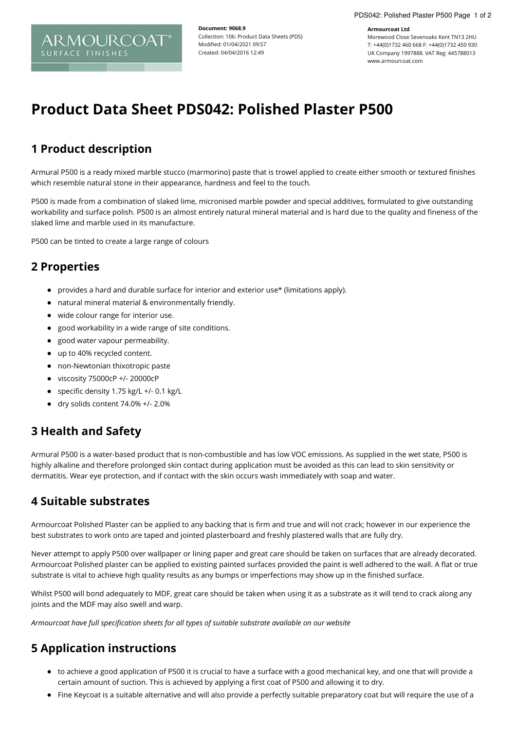#### **Armourcoat Ltd**

Morewood Close Sevenoaks Kent TN13 2HU T: +44(0)1732 460 668 F: +44(0)1732 450 930 UK Company 1997888. VAT Reg: 445788013 www.armourcoat.com

# **Product Data Sheet PDS042: Polished Plaster P500**

**Document: 9068.9**

Modified: 01/04/2021 09:57 Created: 04/04/2016 12:49

Collection: 106: Product Data Sheets (PDS)

# **1 Product description**

ARMOURCOA

**SURFACE FINISHES** 

Armural P500 is a ready mixed marble stucco (marmorino) paste that is trowel applied to create either smooth or textured finishes which resemble natural stone in their appearance, hardness and feel to the touch.

P500 is made from a combination of slaked lime, micronised marble powder and special additives, formulated to give outstanding workability and surface polish. P500 is an almost entirely natural mineral material and is hard due to the quality and fineness of the slaked lime and marble used in its manufacture.

P500 can be tinted to create a large range of colours

### **2 Properties**

- provides a hard and durable surface for interior and exterior use\* (limitations apply).
- natural mineral material & environmentally friendly.
- wide colour range for interior use.
- good workability in a wide range of site conditions.
- good water vapour permeability.
- up to 40% recycled content.
- non-Newtonian thixotropic paste
- viscosity 75000cP +/- 20000cP
- specific density 1.75 kg/L +/- 0.1 kg/L
- $\bullet$  dry solids content 74.0% +/- 2.0%

### **3 Health and Safety**

Armural P500 is a water-based product that is non-combustible and has low VOC emissions. As supplied in the wet state, P500 is highly alkaline and therefore prolonged skin contact during application must be avoided as this can lead to skin sensitivity or dermatitis. Wear eye protection, and if contact with the skin occurs wash immediately with soap and water.

### **4 Suitable substrates**

Armourcoat Polished Plaster can be applied to any backing that is firm and true and will not crack; however in our experience the best substrates to work onto are taped and jointed plasterboard and freshly plastered walls that are fully dry.

Never attempt to apply P500 over wallpaper or lining paper and great care should be taken on surfaces that are already decorated. Armourcoat Polished plaster can be applied to existing painted surfaces provided the paint is well adhered to the wall. A flat or true substrate is vital to achieve high quality results as any bumps or imperfections may show up in the finished surface.

Whilst P500 will bond adequately to MDF, great care should be taken when using it as a substrate as it will tend to crack along any joints and the MDF may also swell and warp.

*Armourcoat have full specification sheets for all types of suitable substrate available on our website*

# **5 Application instructions**

- to achieve a good application of P500 it is crucial to have a surface with a good mechanical key, and one that will provide a certain amount of suction. This is achieved by applying a first coat of P500 and allowing it to dry.
- Fine Keycoat is a suitable alternative and will also provide a perfectly suitable preparatory coat but will require the use of a